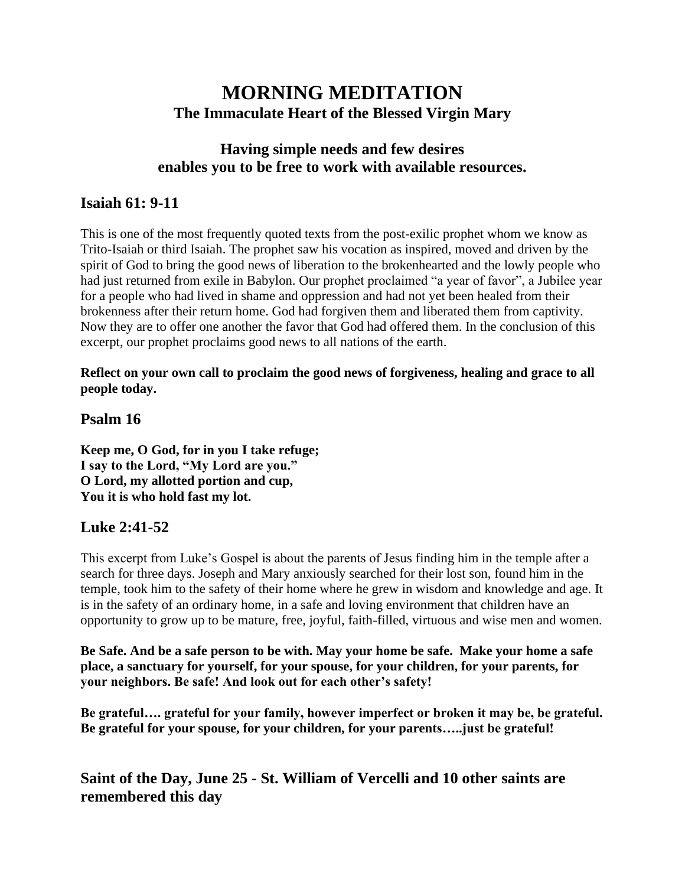# **MORNING MEDITATION The Immaculate Heart of the Blessed Virgin Mary**

## **Having simple needs and few desires enables you to be free to work with available resources.**

### **Isaiah 61: 9-11**

This is one of the most frequently quoted texts from the post-exilic prophet whom we know as Trito-Isaiah or third Isaiah. The prophet saw his vocation as inspired, moved and driven by the spirit of God to bring the good news of liberation to the brokenhearted and the lowly people who had just returned from exile in Babylon. Our prophet proclaimed "a year of favor", a Jubilee year for a people who had lived in shame and oppression and had not yet been healed from their brokenness after their return home. God had forgiven them and liberated them from captivity. Now they are to offer one another the favor that God had offered them. In the conclusion of this excerpt, our prophet proclaims good news to all nations of the earth.

**Reflect on your own call to proclaim the good news of forgiveness, healing and grace to all people today.**

#### **Psalm 16**

**Keep me, O God, for in you I take refuge; I say to the Lord, "My Lord are you." O Lord, my allotted portion and cup, You it is who hold fast my lot.**

#### **Luke 2:41-52**

This excerpt from Luke's Gospel is about the parents of Jesus finding him in the temple after a search for three days. Joseph and Mary anxiously searched for their lost son, found him in the temple, took him to the safety of their home where he grew in wisdom and knowledge and age. It is in the safety of an ordinary home, in a safe and loving environment that children have an opportunity to grow up to be mature, free, joyful, faith-filled, virtuous and wise men and women.

**Be Safe. And be a safe person to be with. May your home be safe. Make your home a safe place, a sanctuary for yourself, for your spouse, for your children, for your parents, for your neighbors. Be safe! And look out for each other's safety!**

**Be grateful…. grateful for your family, however imperfect or broken it may be, be grateful. Be grateful for your spouse, for your children, for your parents…..just be grateful!**

**Saint of the Day, June 25 - St. William of Vercelli and 10 other saints are remembered this day**